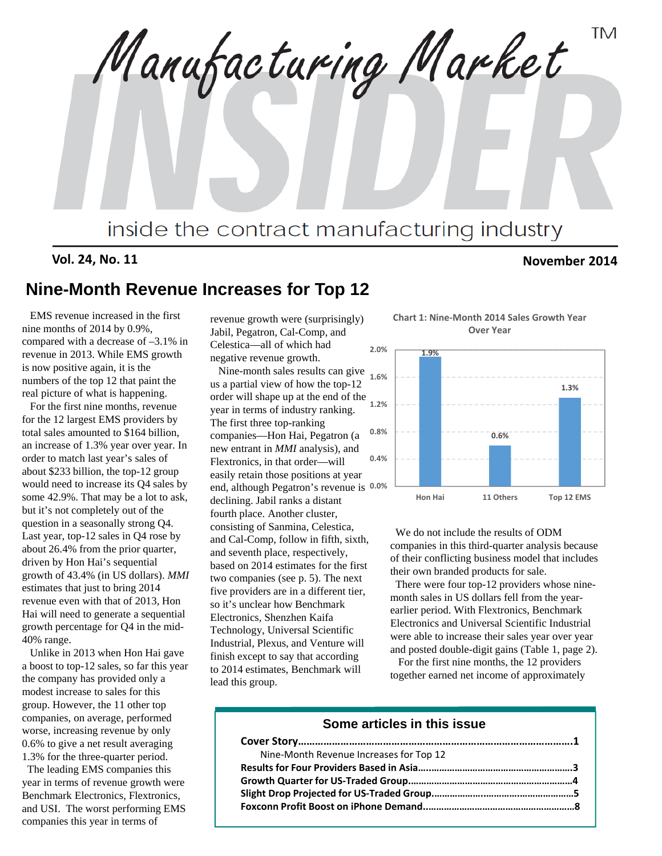**TM** Manufacturing Market inside the contract manufacturing industry

**Vol. 24, No. 11 November 2014**

# **Nine-Month Revenue Increases for Top 12**

EMS revenue increased in the first nine months of 2014 by 0.9%, compared with a decrease of –3.1% in revenue in 2013. While EMS growth is now positive again, it is the numbers of the top 12 that paint the real picture of what is happening.

For the first nine months, revenue for the 12 largest EMS providers by total sales amounted to \$164 billion, an increase of 1.3% year over year. In order to match last year's sales of about \$233 billion, the top-12 group would need to increase its Q4 sales by some 42.9%. That may be a lot to ask, but it's not completely out of the question in a seasonally strong Q4. Last year, top-12 sales in Q4 rose by about 26.4% from the prior quarter, driven by Hon Hai's sequential growth of 43.4% (in US dollars). *MMI* estimates that just to bring 2014 revenue even with that of 2013, Hon Hai will need to generate a sequential growth percentage for Q4 in the mid-40% range.

Unlike in 2013 when Hon Hai gave a boost to top-12 sales, so far this year the company has provided only a modest increase to sales for this group. However, the 11 other top companies, on average, performed worse, increasing revenue by only 0.6% to give a net result averaging 1.3% for the three-quarter period.

The leading EMS companies this year in terms of revenue growth were Benchmark Electronics, Flextronics, and USI. The worst performing EMS companies this year in terms of

revenue growth were (surprisingly) Jabil, Pegatron, Cal-Comp, and Celestica—all of which had negative revenue growth.

Nine-month sales results can give us a partial view of how the top-12 order will shape up at the end of the year in terms of industry ranking. The first three top-ranking companies—Hon Hai, Pegatron (a new entrant in *MMI* analysis), and Flextronics, in that order—will easily retain those positions at year end, although Pegatron's revenue is **0.0%** declining. Jabil ranks a distant fourth place. Another cluster, consisting of Sanmina, Celestica, and Cal-Comp, follow in fifth, sixth, and seventh place, respectively, based on 2014 estimates for the first two companies (see p. 5). The next five providers are in a different tier, so it's unclear how Benchmark Electronics, Shenzhen Kaifa Technology, Universal Scientific Industrial, Plexus, and Venture will finish except to say that according to 2014 estimates, Benchmark will lead this group.

**Chart 1: Nine‐Month 2014 Sales Growth Year Over Year**



We do not include the results of ODM companies in this third-quarter analysis because of their conflicting business model that includes their own branded products for sale.

There were four top-12 providers whose ninemonth sales in US dollars fell from the yearearlier period. With Flextronics, Benchmark Electronics and Universal Scientific Industrial were able to increase their sales year over year and posted double-digit gains (Table 1, page 2).

For the first nine months, the 12 providers together earned net income of approximately

### **Some articles in this issue**

| Nine-Month Revenue Increases for Top 12 |  |
|-----------------------------------------|--|
|                                         |  |
|                                         |  |
|                                         |  |
|                                         |  |
|                                         |  |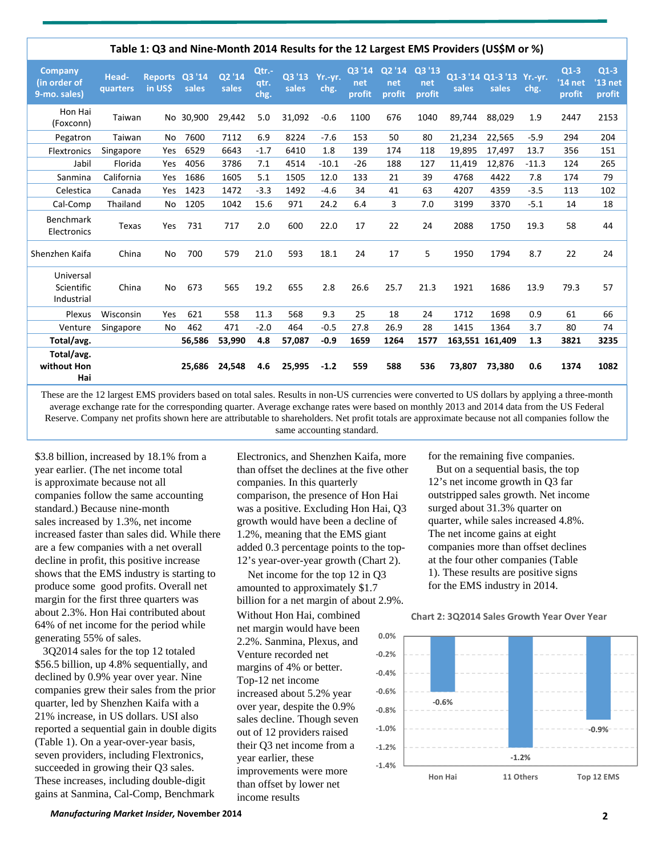|                                                |                   |                           |           |                 |                       |                         |         |                         |                         |                         |        | Table 1: Q3 and Nine-Month 2014 Results for the 12 Largest EMS Providers (US\$M or %) |         |                               |                               |
|------------------------------------------------|-------------------|---------------------------|-----------|-----------------|-----------------------|-------------------------|---------|-------------------------|-------------------------|-------------------------|--------|---------------------------------------------------------------------------------------|---------|-------------------------------|-------------------------------|
| <b>Company</b><br>(in order of<br>9-mo. sales) | Head-<br>quarters | Reports Q3 '14<br>in US\$ | sales     | Q2 '14<br>sales | Qtr.-<br>qtr.<br>chg. | Q3 '13 Yr.-yr.<br>sales | chg.    | Q3 '14<br>net<br>profit | Q2 '14<br>net<br>profit | Q3 '13<br>net<br>profit | sales  | Q1-3 '14 Q1-3 '13 Yr.-yr.<br>sales                                                    | chg.    | $Q1-3$<br>$'14$ net<br>profit | $Q1-3$<br>$'13$ net<br>profit |
| Hon Hai<br>(Foxconn)                           | Taiwan            |                           | No 30,900 | 29,442          | 5.0                   | 31,092                  | $-0.6$  | 1100                    | 676                     | 1040                    | 89,744 | 88,029                                                                                | 1.9     | 2447                          | 2153                          |
| Pegatron                                       | Taiwan            | No                        | 7600      | 7112            | 6.9                   | 8224                    | $-7.6$  | 153                     | 50                      | 80                      | 21,234 | 22,565                                                                                | $-5.9$  | 294                           | 204                           |
| Flextronics                                    | Singapore         | Yes                       | 6529      | 6643            | $-1.7$                | 6410                    | 1.8     | 139                     | 174                     | 118                     | 19,895 | 17,497                                                                                | 13.7    | 356                           | 151                           |
| Jabil                                          | Florida           | Yes                       | 4056      | 3786            | 7.1                   | 4514                    | $-10.1$ | $-26$                   | 188                     | 127                     | 11,419 | 12,876                                                                                | $-11.3$ | 124                           | 265                           |
| Sanmina                                        | California        | Yes                       | 1686      | 1605            | 5.1                   | 1505                    | 12.0    | 133                     | 21                      | 39                      | 4768   | 4422                                                                                  | 7.8     | 174                           | 79                            |
| Celestica                                      | Canada            | Yes                       | 1423      | 1472            | $-3.3$                | 1492                    | $-4.6$  | 34                      | 41                      | 63                      | 4207   | 4359                                                                                  | $-3.5$  | 113                           | 102                           |
| Cal-Comp                                       | Thailand          | No                        | 1205      | 1042            | 15.6                  | 971                     | 24.2    | 6.4                     | 3                       | 7.0                     | 3199   | 3370                                                                                  | $-5.1$  | 14                            | 18                            |
| <b>Benchmark</b><br>Electronics                | Texas             | Yes                       | 731       | 717             | 2.0                   | 600                     | 22.0    | 17                      | 22                      | 24                      | 2088   | 1750                                                                                  | 19.3    | 58                            | 44                            |
| Shenzhen Kaifa                                 | China             | No                        | 700       | 579             | 21.0                  | 593                     | 18.1    | 24                      | 17                      | 5                       | 1950   | 1794                                                                                  | 8.7     | 22                            | 24                            |
| Universal<br>Scientific<br>Industrial          | China             | No                        | 673       | 565             | 19.2                  | 655                     | 2.8     | 26.6                    | 25.7                    | 21.3                    | 1921   | 1686                                                                                  | 13.9    | 79.3                          | 57                            |
| Plexus                                         | Wisconsin         | Yes                       | 621       | 558             | 11.3                  | 568                     | 9.3     | 25                      | 18                      | 24                      | 1712   | 1698                                                                                  | 0.9     | 61                            | 66                            |
| Venture                                        | Singapore         | No                        | 462       | 471             | $-2.0$                | 464                     | $-0.5$  | 27.8                    | 26.9                    | 28                      | 1415   | 1364                                                                                  | 3.7     | 80                            | 74                            |
| Total/avg.                                     |                   |                           | 56,586    | 53,990          | 4.8                   | 57,087                  | $-0.9$  | 1659                    | 1264                    | 1577                    |        | 163,551 161,409                                                                       | 1.3     | 3821                          | 3235                          |
| Total/avg.<br>without Hon<br>Hai               |                   |                           | 25.686    | 24,548          | 4.6                   | 25,995                  | $-1.2$  | 559                     | 588                     | 536                     | 73,807 | 73,380                                                                                | 0.6     | 1374                          | 1082                          |

These are the 12 largest EMS providers based on total sales. Results in non-US currencies were converted to US dollars by applying a three-month average exchange rate for the corresponding quarter. Average exchange rates were based on monthly 2013 and 2014 data from the US Federal Reserve. Company net profits shown here are attributable to shareholders. Net profit totals are approximate because not all companies follow the same accounting standard.

\$3.8 billion, increased by 18.1% from a year earlier. (The net income total is approximate because not all companies follow the same accounting standard.) Because nine-month sales increased by 1.3%, net income increased faster than sales did. While there are a few companies with a net overall decline in profit, this positive increase shows that the EMS industry is starting to produce some good profits. Overall net margin for the first three quarters was about 2.3%. Hon Hai contributed about 64% of net income for the period while generating 55% of sales.

3Q2014 sales for the top 12 totaled \$56.5 billion, up 4.8% sequentially, and declined by 0.9% year over year. Nine companies grew their sales from the prior quarter, led by Shenzhen Kaifa with a 21% increase, in US dollars. USI also reported a sequential gain in double digits (Table 1). On a year-over-year basis, seven providers, including Flextronics, succeeded in growing their Q3 sales. These increases, including double-digit gains at Sanmina, Cal-Comp, Benchmark

Electronics, and Shenzhen Kaifa, more than offset the declines at the five other companies. In this quarterly comparison, the presence of Hon Hai was a positive. Excluding Hon Hai, Q3 growth would have been a decline of 1.2%, meaning that the EMS giant added 0.3 percentage points to the top-12's year-over-year growth (Chart 2).

**‐0.8%** Net income for the top 12 in Q3 amounted to approximately \$1.7 billion for a net margin of about 2.9%. Without Hon Hai, combined net margin would have been 2.2%. Sanmina, Plexus, and Venture recorded net margins of 4% or better. Top-12 net income increased about 5.2% year over year, despite the 0.9% sales decline. Though seven out of 12 providers raised their Q3 net income from a

year earlier, these improvements were more than offset by lower net income results

for the remaining five companies.

But on a sequential basis, the top 12's net income growth in Q3 far outstripped sales growth. Net income surged about 31.3% quarter on quarter, while sales increased 4.8%. The net income gains at eight companies more than offset declines at the four other companies (Table 1). These results are positive signs for the EMS industry in 2014.

**Chart 2: 3Q2014 Sales Growth Year Over Year**

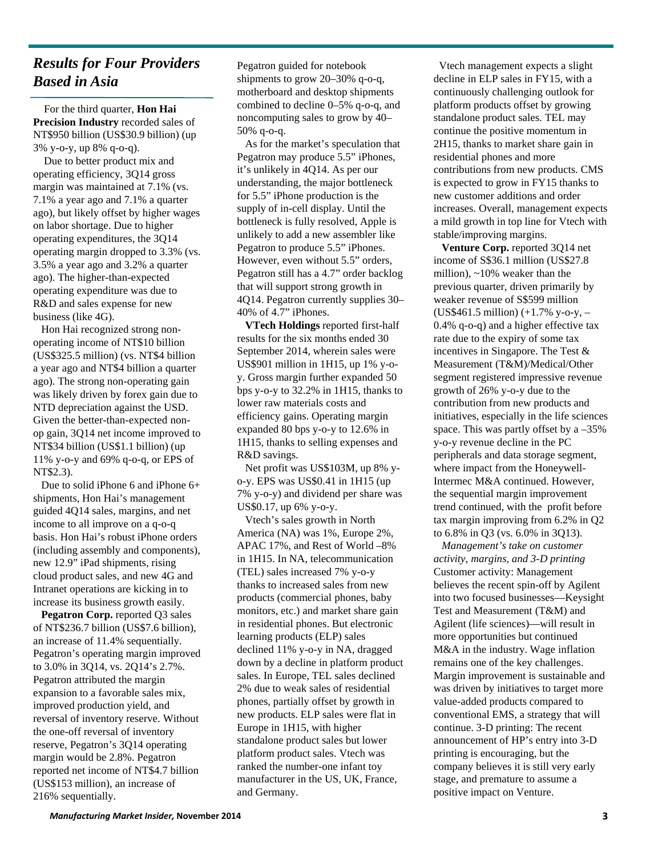# *Results for Four Providers Based in Asia*

For the third quarter, **Hon Hai Precision Industry** recorded sales of NT\$950 billion (US\$30.9 billion) (up 3% y-o-y, up 8% q-o-q).

Due to better product mix and operating efficiency, 3Q14 gross margin was maintained at 7.1% (vs. 7.1% a year ago and 7.1% a quarter ago), but likely offset by higher wages on labor shortage. Due to higher operating expenditures, the 3Q14 operating margin dropped to 3.3% (vs. 3.5% a year ago and 3.2% a quarter ago). The higher-than-expected operating expenditure was due to R&D and sales expense for new business (like 4G).

Hon Hai recognized strong nonoperating income of NT\$10 billion (US\$325.5 million) (vs. NT\$4 billion a year ago and NT\$4 billion a quarter ago). The strong non-operating gain was likely driven by forex gain due to NTD depreciation against the USD. Given the better-than-expected nonop gain, 3Q14 net income improved to NT\$34 billion (US\$1.1 billion) (up 11% y-o-y and 69% q-o-q, or EPS of NT\$2.3).

Due to solid iPhone 6 and iPhone 6+ shipments, Hon Hai's management guided 4Q14 sales, margins, and net income to all improve on a q-o-q basis. Hon Hai's robust iPhone orders (including assembly and components), new 12.9" iPad shipments, rising cloud product sales, and new 4G and Intranet operations are kicking in to increase its business growth easily.

**Pegatron Corp.** reported Q3 sales of NT\$236.7 billion (US\$7.6 billion), an increase of 11.4% sequentially. Pegatron's operating margin improved to 3.0% in 3Q14, vs. 2Q14's 2.7%. Pegatron attributed the margin expansion to a favorable sales mix, improved production yield, and reversal of inventory reserve. Without the one-off reversal of inventory reserve, Pegatron's 3Q14 operating margin would be 2.8%. Pegatron reported net income of NT\$4.7 billion (US\$153 million), an increase of 216% sequentially.

Pegatron guided for notebook shipments to grow 20–30% q-o-q, motherboard and desktop shipments combined to decline 0–5% q-o-q, and noncomputing sales to grow by 40– 50% q-o-q.

As for the market's speculation that Pegatron may produce 5.5" iPhones, it's unlikely in 4Q14. As per our understanding, the major bottleneck for 5.5" iPhone production is the supply of in-cell display. Until the bottleneck is fully resolved, Apple is unlikely to add a new assembler like Pegatron to produce 5.5" iPhones. However, even without 5.5" orders, Pegatron still has a 4.7" order backlog that will support strong growth in 4Q14. Pegatron currently supplies 30– 40% of 4.7" iPhones.

**VTech Holdings** reported first-half results for the six months ended 30 September 2014, wherein sales were US\$901 million in 1H15, up 1% y-oy. Gross margin further expanded 50 bps y-o-y to 32.2% in 1H15, thanks to lower raw materials costs and efficiency gains. Operating margin expanded 80 bps y-o-y to 12.6% in 1H15, thanks to selling expenses and R&D savings.

Net profit was US\$103M, up 8% yo-y. EPS was US\$0.41 in 1H15 (up 7% y-o-y) and dividend per share was US\$0.17, up 6% y-o-y.

Vtech's sales growth in North America (NA) was 1%, Europe 2%, APAC 17%, and Rest of World –8% in 1H15. In NA, telecommunication (TEL) sales increased 7% y-o-y thanks to increased sales from new products (commercial phones, baby monitors, etc.) and market share gain in residential phones. But electronic learning products (ELP) sales declined 11% y-o-y in NA, dragged down by a decline in platform product sales. In Europe, TEL sales declined 2% due to weak sales of residential phones, partially offset by growth in new products. ELP sales were flat in Europe in 1H15, with higher standalone product sales but lower platform product sales. Vtech was ranked the number-one infant toy manufacturer in the US, UK, France, and Germany.

Vtech management expects a slight decline in ELP sales in FY15, with a continuously challenging outlook for platform products offset by growing standalone product sales. TEL may continue the positive momentum in 2H15, thanks to market share gain in residential phones and more contributions from new products. CMS is expected to grow in FY15 thanks to new customer additions and order increases. Overall, management expects a mild growth in top line for Vtech with stable/improving margins.

**Venture Corp.** reported 3Q14 net income of S\$36.1 million (US\$27.8 million), ~10% weaker than the previous quarter, driven primarily by weaker revenue of S\$599 million (US\$461.5 million) (+1.7% y-o-y, – 0.4% q-o-q) and a higher effective tax rate due to the expiry of some tax incentives in Singapore. The Test & Measurement (T&M)/Medical/Other segment registered impressive revenue growth of 26% y-o-y due to the contribution from new products and initiatives, especially in the life sciences space. This was partly offset by a –35% y-o-y revenue decline in the PC peripherals and data storage segment, where impact from the Honeywell-Intermec M&A continued. However, the sequential margin improvement trend continued, with the profit before tax margin improving from 6.2% in Q2 to 6.8% in Q3 (vs. 6.0% in 3Q13).

*Management's take on customer activity, margins, and 3-D printing* Customer activity: Management believes the recent spin-off by Agilent into two focused businesses—Keysight Test and Measurement (T&M) and Agilent (life sciences)—will result in more opportunities but continued M&A in the industry. Wage inflation remains one of the key challenges. Margin improvement is sustainable and was driven by initiatives to target more value-added products compared to conventional EMS, a strategy that will continue. 3-D printing: The recent announcement of HP's entry into 3-D printing is encouraging, but the company believes it is still very early stage, and premature to assume a positive impact on Venture.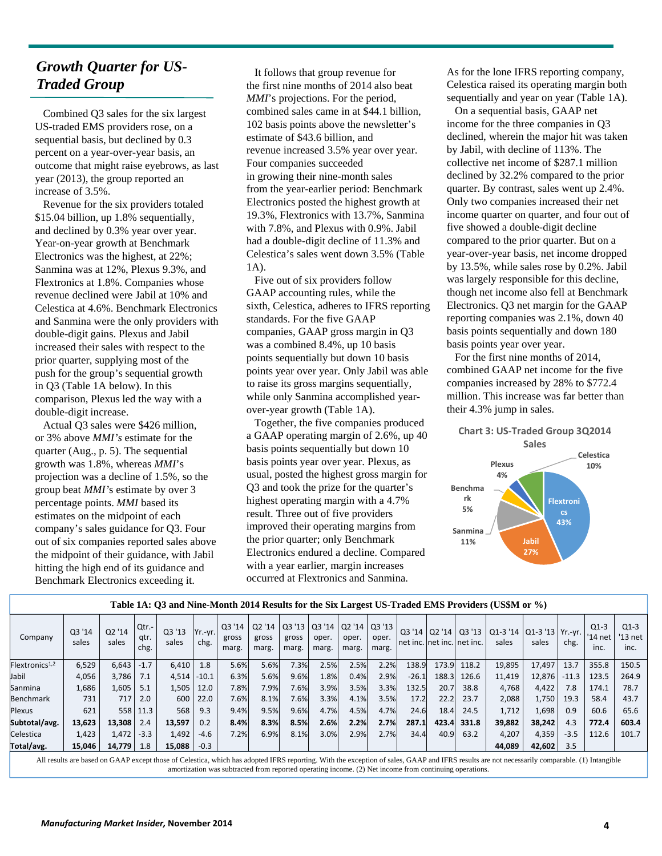# *Growth Quarter for US-Traded Group*

Combined Q3 sales for the six largest US-traded EMS providers rose, on a sequential basis, but declined by 0.3 percent on a year-over-year basis, an outcome that might raise eyebrows, as last year (2013), the group reported an increase of 3.5%.

Revenue for the six providers totaled \$15.04 billion, up 1.8% sequentially, and declined by 0.3% year over year. Year-on-year growth at Benchmark Electronics was the highest, at 22%; Sanmina was at 12%, Plexus 9.3%, and Flextronics at 1.8%. Companies whose revenue declined were Jabil at 10% and Celestica at 4.6%. Benchmark Electronics and Sanmina were the only providers with double-digit gains. Plexus and Jabil increased their sales with respect to the prior quarter, supplying most of the push for the group's sequential growth in Q3 (Table 1A below). In this comparison, Plexus led the way with a double-digit increase.

Actual Q3 sales were \$426 million, or 3% above *MMI's* estimate for the quarter (Aug., p. 5). The sequential growth was 1.8%, whereas *MMI*'s projection was a decline of 1.5%, so the group beat *MMI'*s estimate by over 3 percentage points. *MMI* based its estimates on the midpoint of each company's sales guidance for Q3. Four out of six companies reported sales above the midpoint of their guidance, with Jabil hitting the high end of its guidance and Benchmark Electronics exceeding it.

It follows that group revenue for the first nine months of 2014 also beat *MMI*'s projections. For the period, combined sales came in at \$44.1 billion, 102 basis points above the newsletter's estimate of \$43.6 billion, and revenue increased 3.5% year over year. Four companies succeeded in growing their nine-month sales from the year-earlier period: Benchmark Electronics posted the highest growth at 19.3%, Flextronics with 13.7%, Sanmina with 7.8%, and Plexus with 0.9%. Jabil had a double-digit decline of 11.3% and Celestica's sales went down 3.5% (Table 1A).

Five out of six providers follow GAAP accounting rules, while the sixth, Celestica, adheres to IFRS reporting standards. For the five GAAP companies, GAAP gross margin in Q3 was a combined 8.4%, up 10 basis points sequentially but down 10 basis points year over year. Only Jabil was able to raise its gross margins sequentially, while only Sanmina accomplished yearover-year growth (Table 1A).

Together, the five companies produced a GAAP operating margin of 2.6%, up 40 basis points sequentially but down 10 basis points year over year. Plexus, as usual, posted the highest gross margin for Q3 and took the prize for the quarter's highest operating margin with a 4.7% result. Three out of five providers improved their operating margins from the prior quarter; only Benchmark Electronics endured a decline. Compared with a year earlier, margin increases occurred at Flextronics and Sanmina.

As for the lone IFRS reporting company, Celestica raised its operating margin both sequentially and year on year (Table 1A).

On a sequential basis, GAAP net income for the three companies in Q3 declined, wherein the major hit was taken by Jabil, with decline of 113%. The collective net income of \$287.1 million declined by 32.2% compared to the prior quarter. By contrast, sales went up 2.4%. Only two companies increased their net income quarter on quarter, and four out of five showed a double-digit decline compared to the prior quarter. But on a year-over-year basis, net income dropped by 13.5%, while sales rose by 0.2%. Jabil was largely responsible for this decline, though net income also fell at Benchmark Electronics. Q3 net margin for the GAAP reporting companies was 2.1%, down 40 basis points sequentially and down 180 basis points year over year.

For the first nine months of 2014, combined GAAP net income for the five companies increased by 28% to \$772.4 million. This increase was far better than their 4.3% jump in sales.



|                            |                 |                 |                       |                 |                 |                          |                          |                         |                          |                          |                         |                                         |       |       | Table 1A: Q3 and Nine-Month 2014 Results for the Six Largest US-Traded EMS Providers (US\$M or %) |                                          |         |                           |                           |
|----------------------------|-----------------|-----------------|-----------------------|-----------------|-----------------|--------------------------|--------------------------|-------------------------|--------------------------|--------------------------|-------------------------|-----------------------------------------|-------|-------|---------------------------------------------------------------------------------------------------|------------------------------------------|---------|---------------------------|---------------------------|
| Company                    | Q3 '14<br>sales | Q2 '14<br>sales | Qtr.-<br>gtr.<br>chg. | Q3 '13<br>sales | Yr.-yr.<br>chg. | Q3 '14<br>gross<br>marg. | Q2 '14<br>gross<br>marg. | Q3'13<br>gross<br>marg. | Q3 '14<br>oper.<br>marg. | Q2 '14<br>oper.<br>marg. | Q3'13<br>oper.<br>marg. | Q3 '14<br> net inc.  net inc.  net inc. | Q2'14 | Q3'13 | sales                                                                                             | Q1-3 '14   Q1-3 '13   Yr.-yr.  <br>sales | chg.    | $Q1-3$<br>'14 net<br>inc. | $Q1-3$<br>'13 net<br>inc. |
| Flextronics <sup>1,2</sup> | 6,529           | 6,643           | $-1.7$                | 6,410           | 1.8             | 5.6%                     | 5.6%                     | 7.3%                    | 2.5%                     | 2.5%                     | 2.2%                    | 138.9                                   | 173.9 | 118.2 | 19,895                                                                                            | 17,497                                   | 13.7    | 355.8                     | 150.5                     |
| Jabil                      | 4,056           | 3,786           | 7.1                   | 4,514           | $-10.1$         | 6.3%                     | 5.6%                     | 9.6%                    | 1.8%                     | 0.4%                     | 2.9%                    | $-26.1$                                 | 188.3 | 126.6 | 11,419                                                                                            | 12,876                                   | $-11.3$ | 123.5                     | 264.9                     |
| Sanmina                    | 1,686           | 1,605           | 5.1                   | 1,505           | 12.0            | 7.8%                     | 7.9%                     | 7.6%                    | 3.9%                     | 3.5%                     | 3.3%                    | 132.5                                   | 20.7  | 38.8  | 4,768                                                                                             | 4,422                                    | 7.8     | 174.1                     | 78.7                      |
| <b>Benchmark</b>           | 731             | 717             | 2.0                   | 600             | 22.0            | 7.6%                     | 8.1%                     | 7.6%                    | 3.3%                     | 4.1%                     | 3.5%                    | 17.2                                    | 22.2  | 23.7  | 2,088                                                                                             | 1,750                                    | 19.3    | 58.4                      | 43.7                      |
| Plexus                     | 621             | 558             | 11.3                  | 568             | 9.3             | 9.4%                     | 9.5%                     | 9.6%                    | 4.7%                     | 4.5%                     | 4.7%                    | 24.6                                    | 18.4  | 24.5  | 1.712                                                                                             | 1,698                                    | 0.9     | 60.6                      | 65.6                      |
| Subtotal/avg.              | 13,623          | 13,308          | 2.4                   | 13,597          | 0.2             | 8.4%                     | 8.3%                     | 8.5%                    | 2.6%                     | 2.2%                     | 2.7%                    | 287.1                                   | 423.4 | 331.8 | 39,882                                                                                            | 38.242                                   | 4.3     | 772.4                     | 603.4                     |
| Celestica                  | 1,423           | 1,472           | $-3.3$                | 1,492           | $-4.6$          | 7.2%                     | 6.9%                     | 8.1%                    | 3.0%                     | 2.9%                     | 2.7%                    | 34.4                                    | 40.9  | 63.2  | 4,207                                                                                             | 4,359                                    | $-3.5$  | 112.6                     | 101.7                     |
| Total/avg.                 | 15,046          | 14,779          | 1.8                   | 15,088          | $-0.3$          |                          |                          |                         |                          |                          |                         |                                         |       |       | 44,089                                                                                            | 42,602                                   | 3.5     |                           |                           |

All results are based on GAAP except those of Celestica, which has adopted IFRS reporting. With the exception of sales, GAAP and IFRS results are not necessarily comparable. (1) Intangible amortization was subtracted from reported operating income. (2) Net income from continuing operations.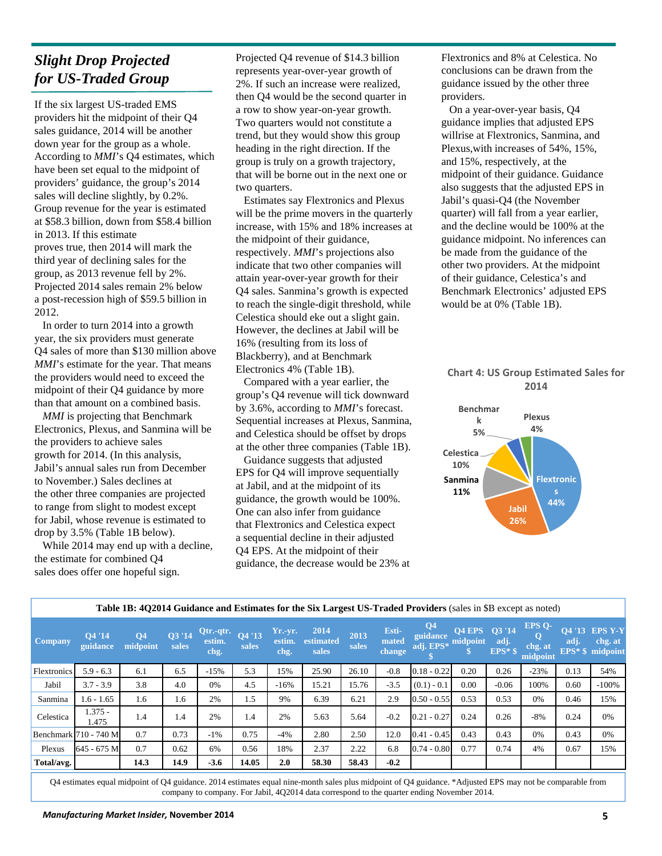# *Slight Drop Projected for US-Traded Group*

If the six largest US-traded EMS providers hit the midpoint of their Q4 sales guidance, 2014 will be another down year for the group as a whole. According to *MMI*'s Q4 estimates, which have been set equal to the midpoint of providers' guidance, the group's 2014 sales will decline slightly, by 0.2%. Group revenue for the year is estimated at \$58.3 billion, down from \$58.4 billion in 2013. If this estimate proves true, then 2014 will mark the third year of declining sales for the group, as 2013 revenue fell by 2%. Projected 2014 sales remain 2% below a post-recession high of \$59.5 billion in 2012.

In order to turn 2014 into a growth year, the six providers must generate Q4 sales of more than \$130 million above *MMI*'s estimate for the year. That means the providers would need to exceed the midpoint of their Q4 guidance by more than that amount on a combined basis.

*MMI* is projecting that Benchmark Electronics, Plexus, and Sanmina will be the providers to achieve sales growth for 2014. (In this analysis, Jabil's annual sales run from December to November.) Sales declines at the other three companies are projected to range from slight to modest except for Jabil, whose revenue is estimated to drop by 3.5% (Table 1B below).

While 2014 may end up with a decline, the estimate for combined Q4 sales does offer one hopeful sign.

Projected Q4 revenue of \$14.3 billion represents year-over-year growth of 2%. If such an increase were realized, then Q4 would be the second quarter in a row to show year-on-year growth. Two quarters would not constitute a trend, but they would show this group heading in the right direction. If the group is truly on a growth trajectory, that will be borne out in the next one or two quarters.

Estimates say Flextronics and Plexus will be the prime movers in the quarterly increase, with 15% and 18% increases at the midpoint of their guidance, respectively. *MMI*'s projections also indicate that two other companies will attain year-over-year growth for their Q4 sales. Sanmina's growth is expected to reach the single-digit threshold, while Celestica should eke out a slight gain. However, the declines at Jabil will be 16% (resulting from its loss of Blackberry), and at Benchmark Electronics 4% (Table 1B).

Compared with a year earlier, the group's Q4 revenue will tick downward by 3.6%, according to *MMI*'s forecast. Sequential increases at Plexus, Sanmina, and Celestica should be offset by drops at the other three companies (Table 1B).

Guidance suggests that adjusted EPS for Q4 will improve sequentially at Jabil, and at the midpoint of its guidance, the growth would be 100%. One can also infer from guidance that Flextronics and Celestica expect a sequential decline in their adjusted Q4 EPS. At the midpoint of their guidance, the decrease would be 23% at Flextronics and 8% at Celestica. No conclusions can be drawn from the guidance issued by the other three providers.

On a year-over-year basis, Q4 guidance implies that adjusted EPS willrise at Flextronics, Sanmina, and Plexus,with increases of 54%, 15%, and 15%, respectively, at the midpoint of their guidance. Guidance also suggests that the adjusted EPS in Jabil's quasi-Q4 (the November quarter) will fall from a year earlier, and the decline would be 100% at the guidance midpoint. No inferences can be made from the guidance of the other two providers. At the midpoint of their guidance, Celestica's and Benchmark Electronics' adjusted EPS would be at 0% (Table 1B).

#### **Chart 4: US Group Estimated Sales for 2014**



|                    |                       | Table 1B: 402014 Guidance and Estimates for the Six Largest US-Traded Providers (sales in \$B except as noted) |                 |                             |                 |                             |                            |               |                          |                                                  |               |                   |                               |                |                                                      |
|--------------------|-----------------------|----------------------------------------------------------------------------------------------------------------|-----------------|-----------------------------|-----------------|-----------------------------|----------------------------|---------------|--------------------------|--------------------------------------------------|---------------|-------------------|-------------------------------|----------------|------------------------------------------------------|
| Company            | O4 '14<br>guidance    | Q <sub>4</sub><br>midpoint                                                                                     | Q3 '14<br>sales | Qtr.-qtr.<br>estim.<br>chg. | Q4 '13<br>sales | $Yr.-yr.$<br>estim.<br>chg. | 2014<br>estimated<br>sales | 2013<br>sales | Esti-<br>mated<br>change | Q <sub>4</sub><br>guidance<br>adj. EPS* midpoint | Q4 EPS Q3 '14 | adj.<br>$EPS*$ \$ | EPS O-<br>chg. at<br>midpoint | O4 '13<br>adj. | <b>EPS Y-Y</b><br>chg. at<br><b>EPS*</b> \$ midpoint |
| <b>Flextronics</b> | $5.9 - 6.3$           | 6.1                                                                                                            | 6.5             | $-15%$                      | 5.3             | 15%                         | 25.90                      | 26.10         | $-0.8$                   | $0.18 - 0.22$                                    | 0.20          | 0.26              | $-23%$                        | 0.13           | 54%                                                  |
| Jabil              | $3.7 - 3.9$           | 3.8                                                                                                            | 4.0             | 0%                          | 4.5             | $-16%$                      | 15.21                      | 15.76         | $-3.5$                   | $(0.1) - 0.1$                                    | 0.00          | $-0.06$           | 100%                          | 0.60           | $-100%$                                              |
| Sanmina            | $1.6 - 1.65$          | 1.6                                                                                                            | 1.6             | 2%                          | 1.5             | 9%                          | 6.39                       | 6.21          | 2.9                      | $0.50 - 0.55$                                    | 0.53          | 0.53              | 0%                            | 0.46           | 15%                                                  |
| Celestica          | $1.375 -$<br>1.475    | 1.4                                                                                                            | 1.4             | 2%                          | 1.4             | 2%                          | 5.63                       | 5.64          | $-0.2$                   | $0.21 - 0.27$                                    | 0.24          | 0.26              | $-8%$                         | 0.24           | 0%                                                   |
|                    | Benchmark 710 - 740 M | 0.7                                                                                                            | 0.73            | $-1\%$                      | 0.75            | $-4%$                       | 2.80                       | 2.50          | 12.0                     | $0.41 - 0.45$                                    | 0.43          | 0.43              | 0%                            | 0.43           | 0%                                                   |
| Plexus             | 645 - 675 M           | 0.7                                                                                                            | 0.62            | 6%                          | 0.56            | 18%                         | 2.37                       | 2.22          | 6.8                      | $0.74 - 0.80$                                    | 0.77          | 0.74              | 4%                            | 0.67           | 15%                                                  |
| Total/avg.         |                       | 14.3                                                                                                           | 14.9            | $-3.6$                      | 14.05           | 2.0                         | 58.30                      | 58.43         | $-0.2$                   |                                                  |               |                   |                               |                |                                                      |

Q4 estimates equal midpoint of Q4 guidance. 2014 estimates equal nine-month sales plus midpoint of Q4 guidance. \*Adjusted EPS may not be comparable from company to company. For Jabil, 4Q2014 data correspond to the quarter ending November 2014.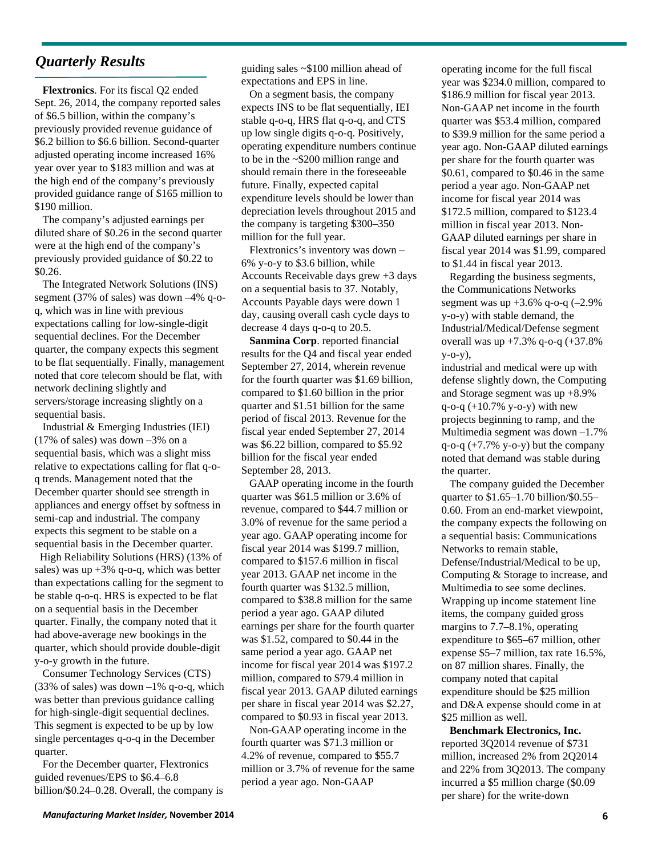### *Quarterly Results*

**Flextronics**. For its fiscal Q2 ended Sept. 26, 2014, the company reported sales of \$6.5 billion, within the company's previously provided revenue guidance of \$6.2 billion to \$6.6 billion. Second-quarter adjusted operating income increased 16% year over year to \$183 million and was at the high end of the company's previously provided guidance range of \$165 million to \$190 million.

The company's adjusted earnings per diluted share of \$0.26 in the second quarter were at the high end of the company's previously provided guidance of \$0.22 to \$0.26.

The Integrated Network Solutions (INS) segment (37% of sales) was down –4% q-oq, which was in line with previous expectations calling for low-single-digit sequential declines. For the December quarter, the company expects this segment to be flat sequentially. Finally, management noted that core telecom should be flat, with network declining slightly and servers/storage increasing slightly on a sequential basis.

Industrial & Emerging Industries (IEI) (17% of sales) was down –3% on a sequential basis, which was a slight miss relative to expectations calling for flat q-oq trends. Management noted that the December quarter should see strength in appliances and energy offset by softness in semi-cap and industrial. The company expects this segment to be stable on a sequential basis in the December quarter.

High Reliability Solutions (HRS) (13% of sales) was up  $+3\%$  q-o-q, which was better than expectations calling for the segment to be stable q-o-q. HRS is expected to be flat on a sequential basis in the December quarter. Finally, the company noted that it had above-average new bookings in the quarter, which should provide double-digit y-o-y growth in the future.

Consumer Technology Services (CTS)  $(33\% \text{ of sales})$  was down  $-1\%$  q-o-q, which was better than previous guidance calling for high-single-digit sequential declines. This segment is expected to be up by low single percentages q-o-q in the December quarter.

For the December quarter, Flextronics guided revenues/EPS to \$6.4–6.8 billion/\$0.24–0.28. Overall, the company is guiding sales ~\$100 million ahead of expectations and EPS in line.

On a segment basis, the company expects INS to be flat sequentially, IEI stable q-o-q, HRS flat q-o-q, and CTS up low single digits q-o-q. Positively, operating expenditure numbers continue to be in the ~\$200 million range and should remain there in the foreseeable future. Finally, expected capital expenditure levels should be lower than depreciation levels throughout 2015 and the company is targeting \$300–350 million for the full year.

Flextronics's inventory was down – 6% y-o-y to \$3.6 billion, while Accounts Receivable days grew +3 days on a sequential basis to 37. Notably, Accounts Payable days were down 1 day, causing overall cash cycle days to decrease 4 days q-o-q to 20.5.

**Sanmina Corp**. reported financial results for the Q4 and fiscal year ended September 27, 2014, wherein revenue for the fourth quarter was \$1.69 billion, compared to \$1.60 billion in the prior quarter and \$1.51 billion for the same period of fiscal 2013. Revenue for the fiscal year ended September 27, 2014 was \$6.22 billion, compared to \$5.92 billion for the fiscal year ended September 28, 2013.

GAAP operating income in the fourth quarter was \$61.5 million or 3.6% of revenue, compared to \$44.7 million or 3.0% of revenue for the same period a year ago. GAAP operating income for fiscal year 2014 was \$199.7 million, compared to \$157.6 million in fiscal year 2013. GAAP net income in the fourth quarter was \$132.5 million, compared to \$38.8 million for the same period a year ago. GAAP diluted earnings per share for the fourth quarter was \$1.52, compared to \$0.44 in the same period a year ago. GAAP net income for fiscal year 2014 was \$197.2 million, compared to \$79.4 million in fiscal year 2013. GAAP diluted earnings per share in fiscal year 2014 was \$2.27, compared to \$0.93 in fiscal year 2013.

Non-GAAP operating income in the fourth quarter was \$71.3 million or 4.2% of revenue, compared to \$55.7 million or 3.7% of revenue for the same period a year ago. Non-GAAP

operating income for the full fiscal year was \$234.0 million, compared to \$186.9 million for fiscal year 2013. Non-GAAP net income in the fourth quarter was \$53.4 million, compared to \$39.9 million for the same period a year ago. Non-GAAP diluted earnings per share for the fourth quarter was \$0.61, compared to \$0.46 in the same period a year ago. Non-GAAP net income for fiscal year 2014 was \$172.5 million, compared to \$123.4 million in fiscal year 2013. Non-GAAP diluted earnings per share in fiscal year 2014 was \$1.99, compared to \$1.44 in fiscal year 2013.

Regarding the business segments, the Communications Networks segment was up  $+3.6\%$  q-o-q (-2.9%) y-o-y) with stable demand, the Industrial/Medical/Defense segment overall was up  $+7.3\%$  q-o-q  $(+37.8\%$ y-o-y),

industrial and medical were up with defense slightly down, the Computing and Storage segment was up +8.9% q-o-q  $(+10.7\%$  y-o-y) with new projects beginning to ramp, and the Multimedia segment was down –1.7%  $q$ -o- $q$  (+7.7% y-o-y) but the company noted that demand was stable during the quarter.

The company guided the December quarter to \$1.65–1.70 billion/\$0.55– 0.60. From an end-market viewpoint, the company expects the following on a sequential basis: Communications Networks to remain stable, Defense/Industrial/Medical to be up, Computing & Storage to increase, and Multimedia to see some declines. Wrapping up income statement line items, the company guided gross margins to 7.7–8.1%, operating expenditure to \$65–67 million, other expense \$5–7 million, tax rate 16.5%, on 87 million shares. Finally, the company noted that capital expenditure should be \$25 million and D&A expense should come in at \$25 million as well.

**Benchmark Electronics, Inc.** reported 3Q2014 revenue of \$731 million, increased 2% from 2Q2014 and 22% from 3Q2013. The company incurred a \$5 million charge (\$0.09 per share) for the write‐down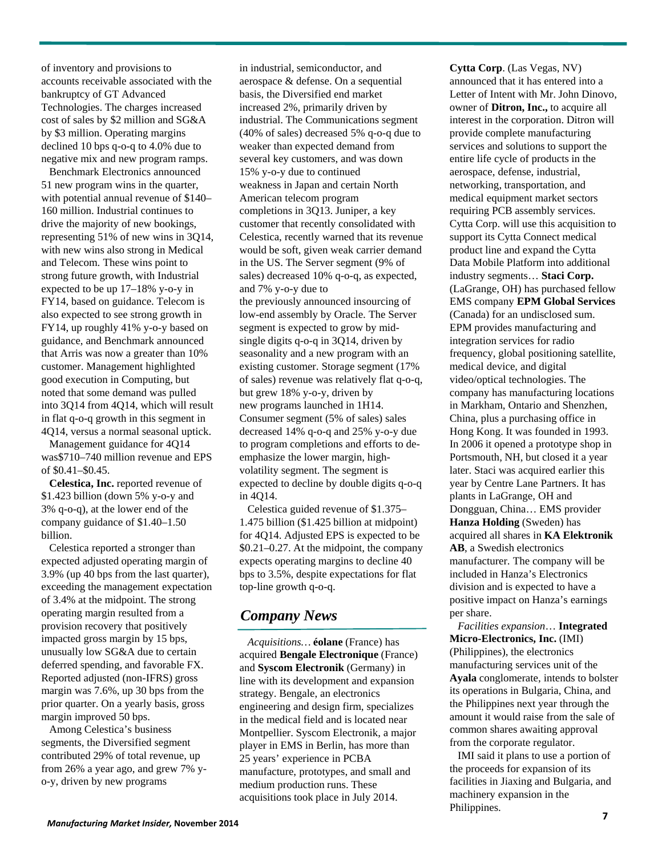of inventory and provisions to accounts receivable associated with the bankruptcy of GT Advanced Technologies. The charges increased cost of sales by \$2 million and SG&A by \$3 million. Operating margins declined 10 bps q-o-q to 4.0% due to negative mix and new program ramps.

Benchmark Electronics announced 51 new program wins in the quarter, with potential annual revenue of \$140– 160 million. Industrial continues to drive the majority of new bookings, representing 51% of new wins in 3Q14, with new wins also strong in Medical and Telecom. These wins point to strong future growth, with Industrial expected to be up 17–18% y-o-y in FY14, based on guidance. Telecom is also expected to see strong growth in FY14, up roughly 41% y-o-y based on guidance, and Benchmark announced that Arris was now a greater than 10% customer. Management highlighted good execution in Computing, but noted that some demand was pulled into 3Q14 from 4Q14, which will result in flat q-o-q growth in this segment in 4Q14, versus a normal seasonal uptick.

Management guidance for 4Q14 was\$710–740 million revenue and EPS of \$0.41–\$0.45.

**Celestica, Inc.** reported revenue of \$1.423 billion (down 5% y-o-y and 3% q-o-q), at the lower end of the company guidance of \$1.40–1.50 billion.

Celestica reported a stronger than expected adjusted operating margin of 3.9% (up 40 bps from the last quarter), exceeding the management expectation of 3.4% at the midpoint. The strong operating margin resulted from a provision recovery that positively impacted gross margin by 15 bps, unusually low SG&A due to certain deferred spending, and favorable FX. Reported adjusted (non-IFRS) gross margin was 7.6%, up 30 bps from the prior quarter. On a yearly basis, gross margin improved 50 bps.

Among Celestica's business segments, the Diversified segment contributed 29% of total revenue, up from 26% a year ago, and grew 7% yo-y, driven by new programs

in industrial, semiconductor, and aerospace & defense. On a sequential basis, the Diversified end market increased 2%, primarily driven by industrial. The Communications segment (40% of sales) decreased 5% q-o-q due to weaker than expected demand from several key customers, and was down 15% y-o-y due to continued weakness in Japan and certain North American telecom program completions in 3Q13. Juniper, a key customer that recently consolidated with Celestica, recently warned that its revenue would be soft, given weak carrier demand in the US. The Server segment (9% of sales) decreased 10% q-o-q, as expected, and 7% y-o-y due to the previously announced insourcing of low-end assembly by Oracle. The Server segment is expected to grow by mid-

single digits q-o-q in 3Q14, driven by seasonality and a new program with an existing customer. Storage segment (17% of sales) revenue was relatively flat q-o-q, but grew 18% y-o-y, driven by new programs launched in 1H14. Consumer segment (5% of sales) sales decreased 14% q-o-q and 25% y-o-y due to program completions and efforts to deemphasize the lower margin, highvolatility segment. The segment is expected to decline by double digits q-o-q in 4Q14.

Celestica guided revenue of \$1.375– 1.475 billion (\$1.425 billion at midpoint) for 4Q14. Adjusted EPS is expected to be \$0.21–0.27. At the midpoint, the company expects operating margins to decline 40 bps to 3.5%, despite expectations for flat top-line growth q-o-q.

### *Company News*

*Acquisitions…* **éolane** (France) has acquired **Bengale Electronique** (France) and **Syscom Electronik** (Germany) in line with its development and expansion strategy. Bengale, an electronics engineering and design firm, specializes in the medical field and is located near Montpellier. Syscom Electronik, a major player in EMS in Berlin, has more than 25 years' experience in PCBA manufacture, prototypes, and small and medium production runs. These acquisitions took place in July 2014.

**Cytta Corp**. (Las Vegas, NV) announced that it has entered into a Letter of Intent with Mr. John Dinovo, owner of **Ditron, Inc.,** to acquire all interest in the corporation. Ditron will provide complete manufacturing services and solutions to support the entire life cycle of products in the aerospace, defense, industrial, networking, transportation, and medical equipment market sectors requiring PCB assembly services. Cytta Corp. will use this acquisition to support its Cytta Connect medical product line and expand the Cytta Data Mobile Platform into additional industry segments… **Staci Corp.**  (LaGrange, OH) has purchased fellow EMS company **EPM Global Services** (Canada) for an undisclosed sum. EPM provides manufacturing and integration services for radio frequency, global positioning satellite, medical device, and digital video/optical technologies. The company has manufacturing locations in Markham, Ontario and Shenzhen, China, plus a purchasing office in Hong Kong. It was founded in 1993. In 2006 it opened a prototype shop in Portsmouth, NH, but closed it a year later. Staci was acquired earlier this year by Centre Lane Partners. It has plants in LaGrange, OH and Dongguan, China… EMS provider **Hanza Holding** (Sweden) has acquired all shares in **KA Elektronik AB**, a Swedish electronics manufacturer. The company will be included in Hanza's Electronics division and is expected to have a positive impact on Hanza's earnings per share.

*Facilities expansion*… **Integrated Micro-Electronics, Inc.** (IMI) (Philippines), the electronics manufacturing services unit of the **Ayala** conglomerate, intends to bolster its operations in Bulgaria, China, and the Philippines next year through the amount it would raise from the sale of common shares awaiting approval from the corporate regulator.

IMI said it plans to use a portion of the proceeds for expansion of its facilities in Jiaxing and Bulgaria, and machinery expansion in the Philippines.